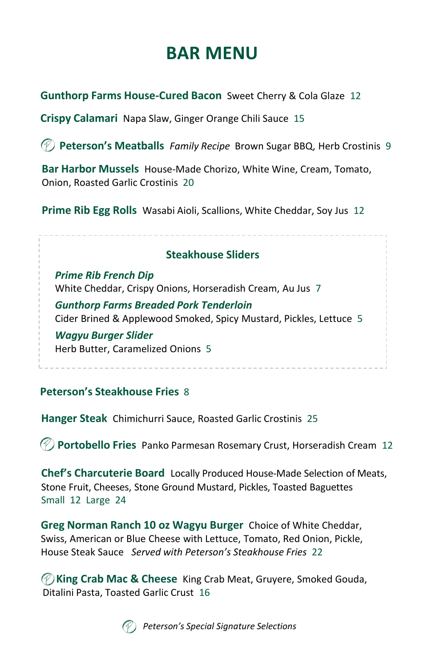# **BAR MENU**

**Gunthorp Farms House-Cured Bacon** Sweet Cherry & Cola Glaze 12

**Crispy Calamari** Napa Slaw, Ginger Orange Chili Sauce 15

**Peterson's Meatballs** *Family Recipe* Brown Sugar BBQ, Herb Crostinis 9

**Bar Harbor Mussels** House-Made Chorizo, White Wine, Cream, Tomato, Onion, Roasted Garlic Crostinis 20

**Prime Rib Egg Rolls** Wasabi Aioli, Scallions, White Cheddar, Soy Jus 12

#### **Steakhouse Sliders**

*Prime Rib French Dip*  White Cheddar, Crispy Onions, Horseradish Cream, Au Jus 7

*Gunthorp Farms Breaded Pork Tenderloin* Cider Brined & Applewood Smoked, Spicy Mustard, Pickles, Lettuce 5

*Wagyu Burger Slider* Herb Butter, Caramelized Onions 5

#### **Peterson's Steakhouse Fries** 8

**Hanger Steak** Chimichurri Sauce, Roasted Garlic Crostinis 25

**Portobello Fries** Panko Parmesan Rosemary Crust, Horseradish Cream 12

**Chef's Charcuterie Board** Locally Produced House-Made Selection of Meats, Stone Fruit, Cheeses, Stone Ground Mustard, Pickles, Toasted Baguettes Small 12 Large 24

**Greg Norman Ranch 10 oz Wagyu Burger** Choice of White Cheddar, Swiss, American or Blue Cheese with Lettuce, Tomato, Red Onion, Pickle, House Steak Sauce *Served with Peterson's Steakhouse Fries* 22

**King Crab Mac & Cheese** King Crab Meat, Gruyere, Smoked Gouda, Ditalini Pasta, Toasted Garlic Crust 16



*Peterson's Special Signature Selections*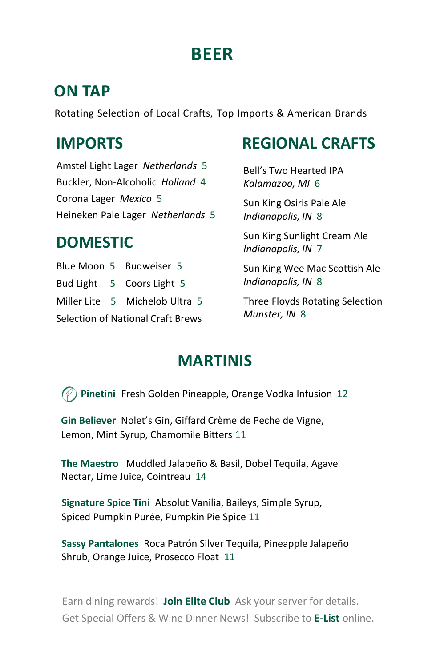# **BEER**

#### **ON TAP**

Rotating Selection of Local Crafts, Top Imports & American Brands

## **IMPORTS**

Amstel Light Lager *Netherlands* 5 Buckler, Non-Alcoholic *Holland* 4 Corona Lager *Mexico* 5 Heineken Pale Lager *Netherlands* 5

# **DOMESTIC**

Blue Moon 5 Budweiser 5 Bud Light 5 Coors Light 5 Miller Lite 5 Michelob Ultra 5 Selection of National Craft Brews

# **REGIONAL CRAFTS**

Bell's Two Hearted IPA *Kalamazoo, MI* 6

Sun King Osiris Pale Ale *Indianapolis, IN* 8

Sun King Sunlight Cream Ale *Indianapolis, IN* 7

Sun King Wee Mac Scottish Ale *Indianapolis, IN* 8

Three Floyds Rotating Selection *Munster, IN* 8

### **MARTINIS**

**Pinetini** Fresh Golden Pineapple, Orange Vodka Infusion 12

**Gin Believer** Nolet's Gin, Giffard Crème de Peche de Vigne, Lemon, Mint Syrup, Chamomile Bitters 11

**The Maestro** Muddled Jalapeño & Basil, Dobel Tequila, Agave Nectar, Lime Juice, Cointreau 14

**Signature Spice Tini** Absolut Vanilia, Baileys, Simple Syrup, Spiced Pumpkin Purée, Pumpkin Pie Spice 11

**Sassy Pantalones** Roca Patrón Silver Tequila, Pineapple Jalapeño Shrub, Orange Juice, Prosecco Float 11

Earn dining rewards! **Join Elite Club** Ask your server for details. Get Special Offers & Wine Dinner News! Subscribe to **E-List** online.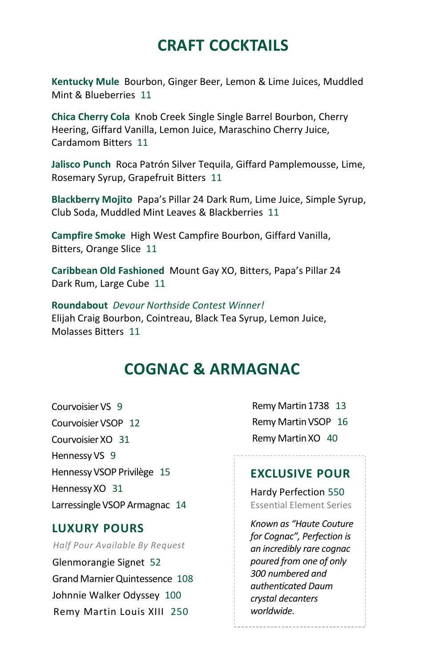### **CRAFT COCKTAILS**

**Kentucky Mule** Bourbon, Ginger Beer, Lemon & Lime Juices, Muddled Mint & Blueberries 11

**Chica Cherry Cola** Knob Creek Single Single Barrel Bourbon, Cherry Heering, Giffard Vanilla, Lemon Juice, Maraschino Cherry Juice, Cardamom Bitters 11

**Jalisco Punch** Roca Patrón Silver Tequila, Giffard Pamplemousse, Lime, Rosemary Syrup, Grapefruit Bitters 11

**Blackberry Mojito** Papa's Pillar 24 Dark Rum, Lime Juice, Simple Syrup, Club Soda, Muddled Mint Leaves & Blackberries 11

**Campfire Smoke** High West Campfire Bourbon, Giffard Vanilla, Bitters, Orange Slice 11

**Caribbean Old Fashioned** Mount Gay XO, Bitters, Papa's Pillar 24 Dark Rum, Large Cube 11

**Roundabout** *Devour Northside Contest Winner!* Elijah Craig Bourbon, Cointreau, Black Tea Syrup, Lemon Juice, Molasses Bitters 11

#### **COGNAC & ARMAGNAC**

Courvoisier VS 9 Courvoisier VSOP 12 Courvoisier XO 31 Hennessy VS 9 Hennessy VSOP Privilège 15 Hennessy XO 31 Larressingle VSOP Armagnac 14

#### **LUXURY POURS**

#### *Half Pour Available By Request*

Glenmorangie Signet 52 Grand Marnier Quintessence 108 Johnnie Walker Odyssey 100 Remy Martin Louis XIII 250

Remy Martin 1738 13 Remy Martin VSOP 16 Remy Martin XO 40

#### **EXCLUSIVE POUR**

Hardy Perfection 550 Essential Element Series

*Known as "Haute Couture for Cognac", Perfection is an incredibly rare cognac poured from one of only 300 numbered and authenticated Daum crystal decanters worldwide.*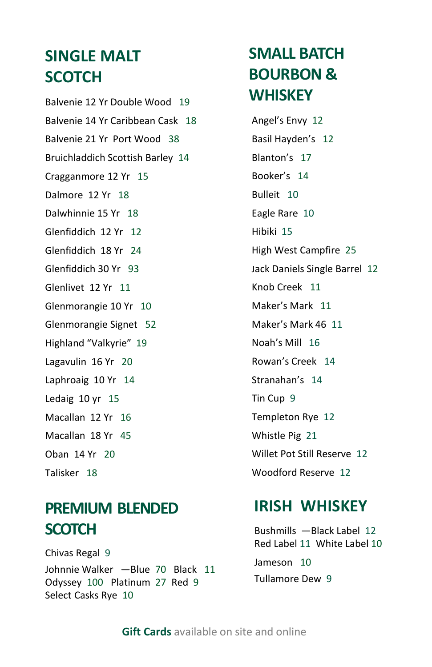# **SINGLE MALT SCOTCH**

Balvenie 12 Yr Double Wood 19 Balvenie 14 Yr Caribbean Cask 18 Balvenie 21 Yr Port Wood 38 Bruichladdich Scottish Barley 14 Cragganmore 12 Yr 15 Dalmore 12 Yr 18 Dalwhinnie 15 Yr 18 Glenfiddich 12 Yr 12 Glenfiddich 18 Yr 24 Glenfiddich 30 Yr 93 Glenlivet 12 Yr 11 Glenmorangie 10 Yr 10 Glenmorangie Signet 52 Highland "Valkyrie" 19 Lagavulin 16 Yr 20 Laphroaig 10 Yr 14 Ledaig 10 yr 15 Macallan 12 Yr 16 Macallan 18 Yr 45 Oban 14 Yr 20 Talisker 18

# **PREMIUM BLENDED SCOTCH**

Chivas Regal 9 Johnnie Walker ―Blue 70 Black 11 Odyssey 100 Platinum 27 Red 9 Select Casks Rye 10

# **SMALL BATCH BOURBON & WHISKEY**

Angel's Envy 12 Basil Hayden's 12 Blanton's 17 Booker's 14 Bulleit 10 Eagle Rare 10 Hibiki 15 High West Campfire 25 Jack Daniels Single Barrel 12 Knob Creek 11 Maker's Mark 11 Maker's Mark 46 11 Noah's Mill 16 Rowan's Creek 14 Stranahan's 14 Tin Cup 9 Templeton Rye 12 Whistle Pig 21 Willet Pot Still Reserve 12 Woodford Reserve 12

### **IRISH WHISKEY**

Bushmills ―Black Label 12 Red Label 11 White Label 10 Jameson 10 Tullamore Dew 9